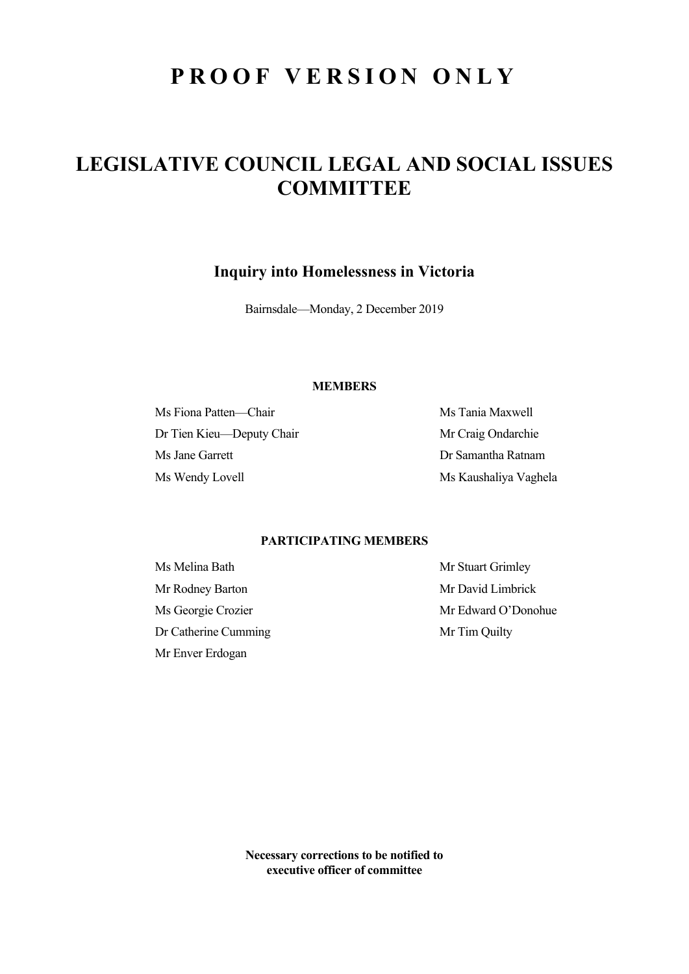# **PROOF VERSION ONLY**

## **LEGISLATIVE COUNCIL LEGAL AND SOCIAL ISSUES COMMITTEE**

**Inquiry into Homelessness in Victoria** 

Bairnsdale—Monday, 2 December 2019

### **MEMBERS**

Ms Fiona Patten—Chair Ms Tania Maxwell Dr Tien Kieu—Deputy Chair Mr Craig Ondarchie Ms Jane Garrett Dr Samantha Ratnam Ms Wendy Lovell Ms Kaushaliya Vaghela

## **PARTICIPATING MEMBERS**

Ms Melina Bath Mr Stuart Grimley Mr Rodney Barton Mr David Limbrick Dr Catherine Cumming Mr Tim Quilty Mr Enver Erdogan

Ms Georgie Crozier and Mr Edward O'Donohue

**Necessary corrections to be notified to executive officer of committee**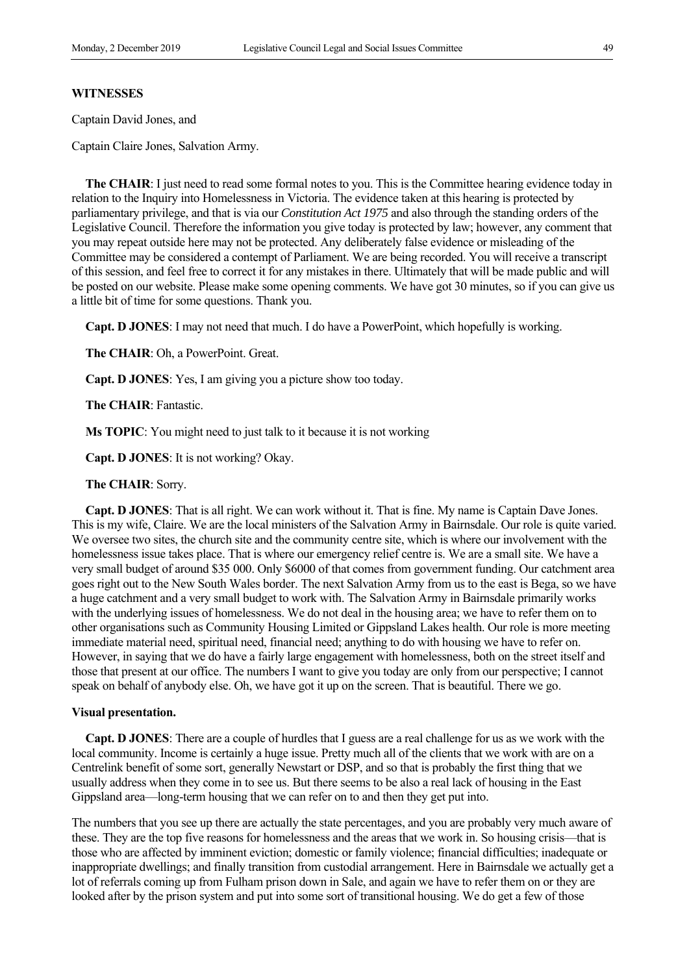#### **WITNESSES**

Captain David Jones, and

Captain Claire Jones, Salvation Army.

**The CHAIR:** I just need to read some formal notes to you. This is the Committee hearing evidence today in relation to the Inquiry into Homelessness in Victoria. The evidence taken at this hearing is protected by parliamentary privilege, and that is via our *Constitution Act 1975* and also through the standing orders of the Legislative Council. Therefore the information you give today is protected by law; however, any comment that you may repeat outside here may not be protected. Any deliberately false evidence or misleading of the Committee may be considered a contempt of Parliament. We are being recorded. You will receive a transcript of this session, and feel free to correct it for any mistakes in there. Ultimately that will be made public and will be posted on our website. Please make some opening comments. We have got 30 minutes, so if you can give us a little bit of time for some questions. Thank you.

 **Capt. D JONES**: I may not need that much. I do have a PowerPoint, which hopefully is working.

**The CHAIR**: Oh, a PowerPoint. Great.

 **Capt. D JONES**: Yes, I am giving you a picture show too today.

**The CHAIR**: Fantastic.

**Ms TOPIC**: You might need to just talk to it because it is not working

 **Capt. D JONES**: It is not working? Okay.

#### **The CHAIR**: Sorry.

 **Capt. D JONES**: That is all right. We can work without it. That is fine. My name is Captain Dave Jones. This is my wife, Claire. We are the local ministers of the Salvation Army in Bairnsdale. Our role is quite varied. We oversee two sites, the church site and the community centre site, which is where our involvement with the homelessness issue takes place. That is where our emergency relief centre is. We are a small site. We have a very small budget of around \$35 000. Only \$6000 of that comes from government funding. Our catchment area goes right out to the New South Wales border. The next Salvation Army from us to the east is Bega, so we have a huge catchment and a very small budget to work with. The Salvation Army in Bairnsdale primarily works with the underlying issues of homelessness. We do not deal in the housing area; we have to refer them on to other organisations such as Community Housing Limited or Gippsland Lakes health. Our role is more meeting immediate material need, spiritual need, financial need; anything to do with housing we have to refer on. However, in saying that we do have a fairly large engagement with homelessness, both on the street itself and those that present at our office. The numbers I want to give you today are only from our perspective; I cannot speak on behalf of anybody else. Oh, we have got it up on the screen. That is beautiful. There we go.

#### **Visual presentation.**

 **Capt. D JONES**: There are a couple of hurdles that I guess are a real challenge for us as we work with the local community. Income is certainly a huge issue. Pretty much all of the clients that we work with are on a Centrelink benefit of some sort, generally Newstart or DSP, and so that is probably the first thing that we usually address when they come in to see us. But there seems to be also a real lack of housing in the East Gippsland area—long-term housing that we can refer on to and then they get put into.

The numbers that you see up there are actually the state percentages, and you are probably very much aware of these. They are the top five reasons for homelessness and the areas that we work in. So housing crisis—that is those who are affected by imminent eviction; domestic or family violence; financial difficulties; inadequate or inappropriate dwellings; and finally transition from custodial arrangement. Here in Bairnsdale we actually get a lot of referrals coming up from Fulham prison down in Sale, and again we have to refer them on or they are looked after by the prison system and put into some sort of transitional housing. We do get a few of those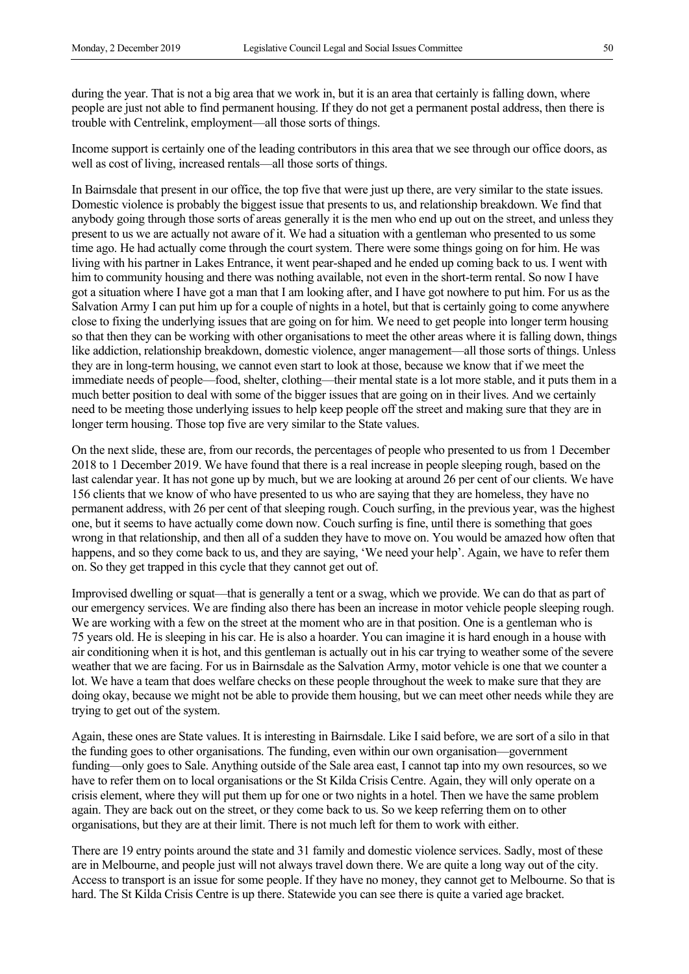during the year. That is not a big area that we work in, but it is an area that certainly is falling down, where people are just not able to find permanent housing. If they do not get a permanent postal address, then there is trouble with Centrelink, employment—all those sorts of things.

Income support is certainly one of the leading contributors in this area that we see through our office doors, as well as cost of living, increased rentals—all those sorts of things.

In Bairnsdale that present in our office, the top five that were just up there, are very similar to the state issues. Domestic violence is probably the biggest issue that presents to us, and relationship breakdown. We find that anybody going through those sorts of areas generally it is the men who end up out on the street, and unless they present to us we are actually not aware of it. We had a situation with a gentleman who presented to us some time ago. He had actually come through the court system. There were some things going on for him. He was living with his partner in Lakes Entrance, it went pear-shaped and he ended up coming back to us. I went with him to community housing and there was nothing available, not even in the short-term rental. So now I have got a situation where I have got a man that I am looking after, and I have got nowhere to put him. For us as the Salvation Army I can put him up for a couple of nights in a hotel, but that is certainly going to come anywhere close to fixing the underlying issues that are going on for him. We need to get people into longer term housing so that then they can be working with other organisations to meet the other areas where it is falling down, things like addiction, relationship breakdown, domestic violence, anger management—all those sorts of things. Unless they are in long-term housing, we cannot even start to look at those, because we know that if we meet the immediate needs of people—food, shelter, clothing—their mental state is a lot more stable, and it puts them in a much better position to deal with some of the bigger issues that are going on in their lives. And we certainly need to be meeting those underlying issues to help keep people off the street and making sure that they are in longer term housing. Those top five are very similar to the State values.

On the next slide, these are, from our records, the percentages of people who presented to us from 1 December 2018 to 1 December 2019. We have found that there is a real increase in people sleeping rough, based on the last calendar year. It has not gone up by much, but we are looking at around 26 per cent of our clients. We have 156 clients that we know of who have presented to us who are saying that they are homeless, they have no permanent address, with 26 per cent of that sleeping rough. Couch surfing, in the previous year, was the highest one, but it seems to have actually come down now. Couch surfing is fine, until there is something that goes wrong in that relationship, and then all of a sudden they have to move on. You would be amazed how often that happens, and so they come back to us, and they are saying, 'We need your help'. Again, we have to refer them on. So they get trapped in this cycle that they cannot get out of.

Improvised dwelling or squat—that is generally a tent or a swag, which we provide. We can do that as part of our emergency services. We are finding also there has been an increase in motor vehicle people sleeping rough. We are working with a few on the street at the moment who are in that position. One is a gentleman who is 75 years old. He is sleeping in his car. He is also a hoarder. You can imagine it is hard enough in a house with air conditioning when it is hot, and this gentleman is actually out in his car trying to weather some of the severe weather that we are facing. For us in Bairnsdale as the Salvation Army, motor vehicle is one that we counter a lot. We have a team that does welfare checks on these people throughout the week to make sure that they are doing okay, because we might not be able to provide them housing, but we can meet other needs while they are trying to get out of the system.

Again, these ones are State values. It is interesting in Bairnsdale. Like I said before, we are sort of a silo in that the funding goes to other organisations. The funding, even within our own organisation—government funding—only goes to Sale. Anything outside of the Sale area east, I cannot tap into my own resources, so we have to refer them on to local organisations or the St Kilda Crisis Centre. Again, they will only operate on a crisis element, where they will put them up for one or two nights in a hotel. Then we have the same problem again. They are back out on the street, or they come back to us. So we keep referring them on to other organisations, but they are at their limit. There is not much left for them to work with either.

There are 19 entry points around the state and 31 family and domestic violence services. Sadly, most of these are in Melbourne, and people just will not always travel down there. We are quite a long way out of the city. Access to transport is an issue for some people. If they have no money, they cannot get to Melbourne. So that is hard. The St Kilda Crisis Centre is up there. Statewide you can see there is quite a varied age bracket.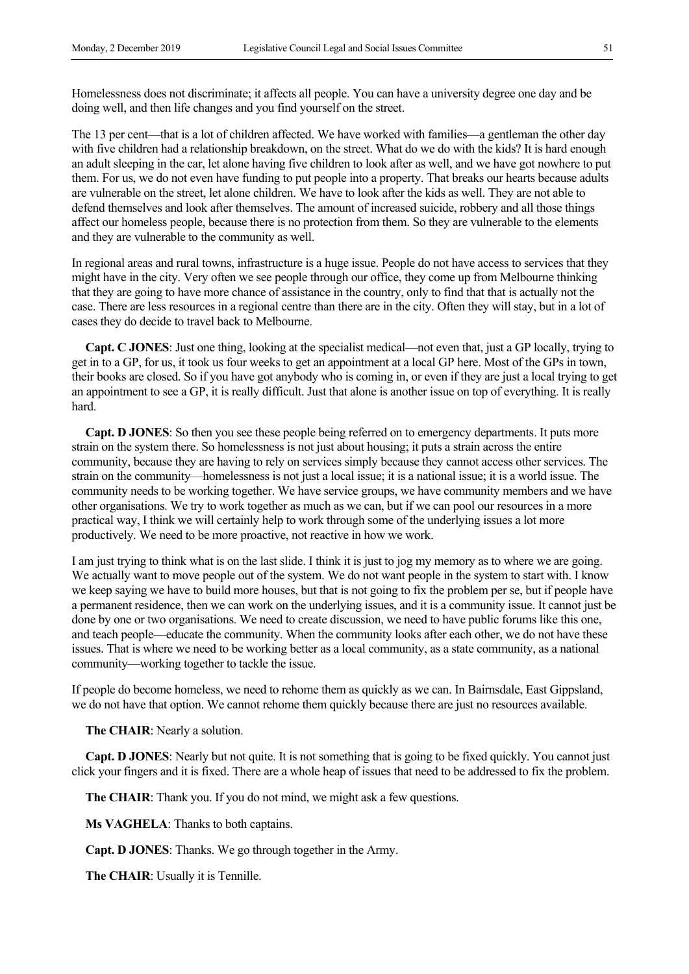Homelessness does not discriminate; it affects all people. You can have a university degree one day and be doing well, and then life changes and you find yourself on the street.

The 13 per cent—that is a lot of children affected. We have worked with families—a gentleman the other day with five children had a relationship breakdown, on the street. What do we do with the kids? It is hard enough an adult sleeping in the car, let alone having five children to look after as well, and we have got nowhere to put them. For us, we do not even have funding to put people into a property. That breaks our hearts because adults are vulnerable on the street, let alone children. We have to look after the kids as well. They are not able to defend themselves and look after themselves. The amount of increased suicide, robbery and all those things affect our homeless people, because there is no protection from them. So they are vulnerable to the elements and they are vulnerable to the community as well.

In regional areas and rural towns, infrastructure is a huge issue. People do not have access to services that they might have in the city. Very often we see people through our office, they come up from Melbourne thinking that they are going to have more chance of assistance in the country, only to find that that is actually not the case. There are less resources in a regional centre than there are in the city. Often they will stay, but in a lot of cases they do decide to travel back to Melbourne.

**Capt. C JONES**: Just one thing, looking at the specialist medical—not even that, just a GP locally, trying to get in to a GP, for us, it took us four weeks to get an appointment at a local GP here. Most of the GPs in town, their books are closed. So if you have got anybody who is coming in, or even if they are just a local trying to get an appointment to see a GP, it is really difficult. Just that alone is another issue on top of everything. It is really hard.

 **Capt. D JONES**: So then you see these people being referred on to emergency departments. It puts more strain on the system there. So homelessness is not just about housing; it puts a strain across the entire community, because they are having to rely on services simply because they cannot access other services. The strain on the community—homelessness is not just a local issue; it is a national issue; it is a world issue. The community needs to be working together. We have service groups, we have community members and we have other organisations. We try to work together as much as we can, but if we can pool our resources in a more practical way, I think we will certainly help to work through some of the underlying issues a lot more productively. We need to be more proactive, not reactive in how we work.

I am just trying to think what is on the last slide. I think it is just to jog my memory as to where we are going. We actually want to move people out of the system. We do not want people in the system to start with. I know we keep saying we have to build more houses, but that is not going to fix the problem per se, but if people have a permanent residence, then we can work on the underlying issues, and it is a community issue. It cannot just be done by one or two organisations. We need to create discussion, we need to have public forums like this one, and teach people—educate the community. When the community looks after each other, we do not have these issues. That is where we need to be working better as a local community, as a state community, as a national community—working together to tackle the issue.

If people do become homeless, we need to rehome them as quickly as we can. In Bairnsdale, East Gippsland, we do not have that option. We cannot rehome them quickly because there are just no resources available.

**The CHAIR**: Nearly a solution.

 **Capt. D JONES**: Nearly but not quite. It is not something that is going to be fixed quickly. You cannot just click your fingers and it is fixed. There are a whole heap of issues that need to be addressed to fix the problem.

**The CHAIR**: Thank you. If you do not mind, we might ask a few questions.

**Ms VAGHELA**: Thanks to both captains.

 **Capt. D JONES**: Thanks. We go through together in the Army.

**The CHAIR**: Usually it is Tennille.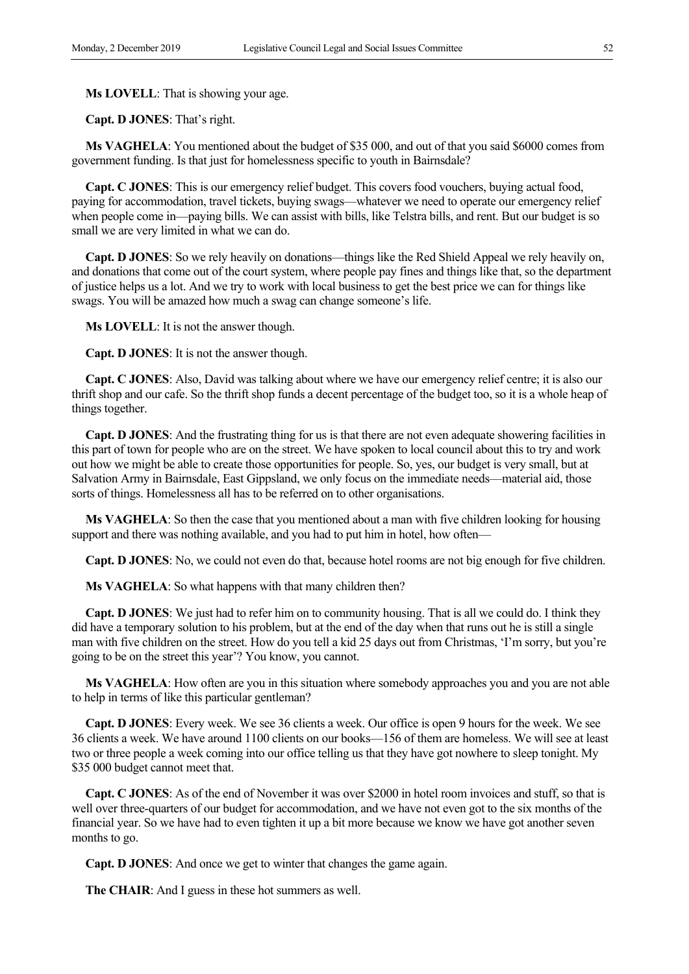**Ms LOVELL**: That is showing your age.

 **Capt. D JONES**: That's right.

**Ms VAGHELA**: You mentioned about the budget of \$35 000, and out of that you said \$6000 comes from government funding. Is that just for homelessness specific to youth in Bairnsdale?

**Capt. C JONES**: This is our emergency relief budget. This covers food vouchers, buying actual food, paying for accommodation, travel tickets, buying swags—whatever we need to operate our emergency relief when people come in—paying bills. We can assist with bills, like Telstra bills, and rent. But our budget is so small we are very limited in what we can do.

 **Capt. D JONES**: So we rely heavily on donations—things like the Red Shield Appeal we rely heavily on, and donations that come out of the court system, where people pay fines and things like that, so the department of justice helps us a lot. And we try to work with local business to get the best price we can for things like swags. You will be amazed how much a swag can change someone's life.

**Ms LOVELL**: It is not the answer though.

 **Capt. D JONES**: It is not the answer though.

**Capt. C JONES**: Also, David was talking about where we have our emergency relief centre; it is also our thrift shop and our cafe. So the thrift shop funds a decent percentage of the budget too, so it is a whole heap of things together.

 **Capt. D JONES**: And the frustrating thing for us is that there are not even adequate showering facilities in this part of town for people who are on the street. We have spoken to local council about this to try and work out how we might be able to create those opportunities for people. So, yes, our budget is very small, but at Salvation Army in Bairnsdale, East Gippsland, we only focus on the immediate needs—material aid, those sorts of things. Homelessness all has to be referred on to other organisations.

**Ms VAGHELA**: So then the case that you mentioned about a man with five children looking for housing support and there was nothing available, and you had to put him in hotel, how often—

 **Capt. D JONES**: No, we could not even do that, because hotel rooms are not big enough for five children.

**Ms VAGHELA**: So what happens with that many children then?

 **Capt. D JONES**: We just had to refer him on to community housing. That is all we could do. I think they did have a temporary solution to his problem, but at the end of the day when that runs out he is still a single man with five children on the street. How do you tell a kid 25 days out from Christmas, 'I'm sorry, but you're going to be on the street this year'? You know, you cannot.

**Ms VAGHELA**: How often are you in this situation where somebody approaches you and you are not able to help in terms of like this particular gentleman?

 **Capt. D JONES**: Every week. We see 36 clients a week. Our office is open 9 hours for the week. We see 36 clients a week. We have around 1100 clients on our books—156 of them are homeless. We will see at least two or three people a week coming into our office telling us that they have got nowhere to sleep tonight. My \$35 000 budget cannot meet that.

**Capt. C JONES**: As of the end of November it was over \$2000 in hotel room invoices and stuff, so that is well over three-quarters of our budget for accommodation, and we have not even got to the six months of the financial year. So we have had to even tighten it up a bit more because we know we have got another seven months to go.

 **Capt. D JONES**: And once we get to winter that changes the game again.

**The CHAIR**: And I guess in these hot summers as well.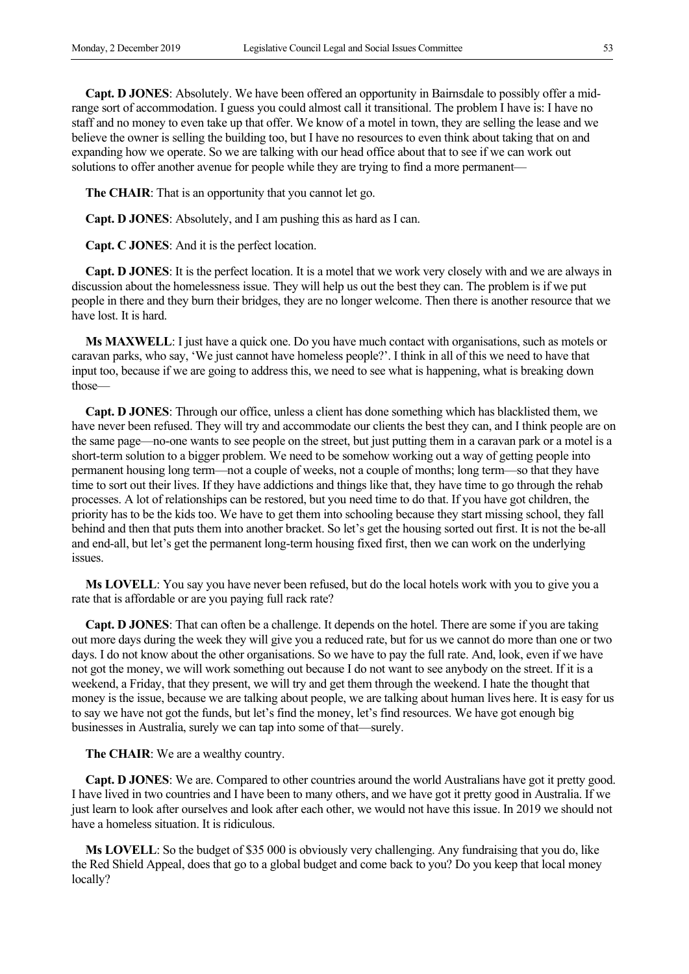**Capt. D JONES**: Absolutely. We have been offered an opportunity in Bairnsdale to possibly offer a midrange sort of accommodation. I guess you could almost call it transitional. The problem I have is: I have no staff and no money to even take up that offer. We know of a motel in town, they are selling the lease and we believe the owner is selling the building too, but I have no resources to even think about taking that on and expanding how we operate. So we are talking with our head office about that to see if we can work out solutions to offer another avenue for people while they are trying to find a more permanent-

**The CHAIR**: That is an opportunity that you cannot let go.

 **Capt. D JONES**: Absolutely, and I am pushing this as hard as I can.

**Capt. C JONES**: And it is the perfect location.

 **Capt. D JONES**: It is the perfect location. It is a motel that we work very closely with and we are always in discussion about the homelessness issue. They will help us out the best they can. The problem is if we put people in there and they burn their bridges, they are no longer welcome. Then there is another resource that we have lost. It is hard.

**Ms MAXWELL**: I just have a quick one. Do you have much contact with organisations, such as motels or caravan parks, who say, 'We just cannot have homeless people?'. I think in all of this we need to have that input too, because if we are going to address this, we need to see what is happening, what is breaking down those—

 **Capt. D JONES**: Through our office, unless a client has done something which has blacklisted them, we have never been refused. They will try and accommodate our clients the best they can, and I think people are on the same page—no-one wants to see people on the street, but just putting them in a caravan park or a motel is a short-term solution to a bigger problem. We need to be somehow working out a way of getting people into permanent housing long term—not a couple of weeks, not a couple of months; long term—so that they have time to sort out their lives. If they have addictions and things like that, they have time to go through the rehab processes. A lot of relationships can be restored, but you need time to do that. If you have got children, the priority has to be the kids too. We have to get them into schooling because they start missing school, they fall behind and then that puts them into another bracket. So let's get the housing sorted out first. It is not the be-all and end-all, but let's get the permanent long-term housing fixed first, then we can work on the underlying issues.

**Ms LOVELL**: You say you have never been refused, but do the local hotels work with you to give you a rate that is affordable or are you paying full rack rate?

 **Capt. D JONES**: That can often be a challenge. It depends on the hotel. There are some if you are taking out more days during the week they will give you a reduced rate, but for us we cannot do more than one or two days. I do not know about the other organisations. So we have to pay the full rate. And, look, even if we have not got the money, we will work something out because I do not want to see anybody on the street. If it is a weekend, a Friday, that they present, we will try and get them through the weekend. I hate the thought that money is the issue, because we are talking about people, we are talking about human lives here. It is easy for us to say we have not got the funds, but let's find the money, let's find resources. We have got enough big businesses in Australia, surely we can tap into some of that—surely.

**The CHAIR**: We are a wealthy country.

 **Capt. D JONES**: We are. Compared to other countries around the world Australians have got it pretty good. I have lived in two countries and I have been to many others, and we have got it pretty good in Australia. If we just learn to look after ourselves and look after each other, we would not have this issue. In 2019 we should not have a homeless situation. It is ridiculous.

**Ms LOVELL**: So the budget of \$35 000 is obviously very challenging. Any fundraising that you do, like the Red Shield Appeal, does that go to a global budget and come back to you? Do you keep that local money locally?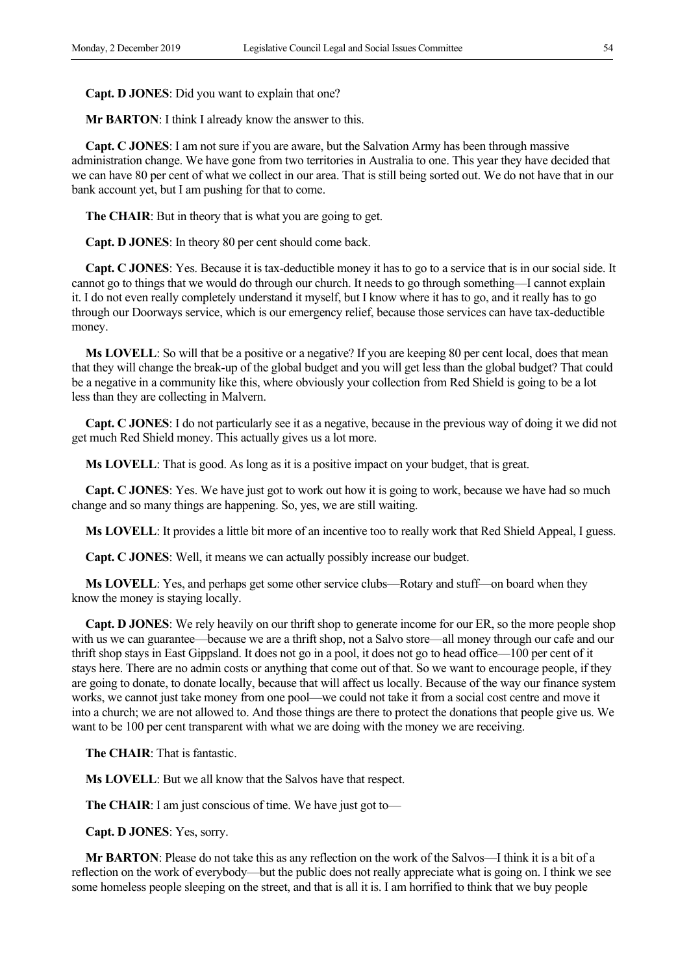**Capt. D JONES**: Did you want to explain that one?

**Mr BARTON**: I think I already know the answer to this.

**Capt. C JONES**: I am not sure if you are aware, but the Salvation Army has been through massive administration change. We have gone from two territories in Australia to one. This year they have decided that we can have 80 per cent of what we collect in our area. That is still being sorted out. We do not have that in our bank account yet, but I am pushing for that to come.

**The CHAIR**: But in theory that is what you are going to get.

 **Capt. D JONES**: In theory 80 per cent should come back.

**Capt. C JONES**: Yes. Because it is tax-deductible money it has to go to a service that is in our social side. It cannot go to things that we would do through our church. It needs to go through something—I cannot explain it. I do not even really completely understand it myself, but I know where it has to go, and it really has to go through our Doorways service, which is our emergency relief, because those services can have tax-deductible money.

**Ms LOVELL**: So will that be a positive or a negative? If you are keeping 80 per cent local, does that mean that they will change the break-up of the global budget and you will get less than the global budget? That could be a negative in a community like this, where obviously your collection from Red Shield is going to be a lot less than they are collecting in Malvern.

**Capt. C JONES**: I do not particularly see it as a negative, because in the previous way of doing it we did not get much Red Shield money. This actually gives us a lot more.

**Ms LOVELL**: That is good. As long as it is a positive impact on your budget, that is great.

**Capt. C JONES**: Yes. We have just got to work out how it is going to work, because we have had so much change and so many things are happening. So, yes, we are still waiting.

**Ms LOVELL**: It provides a little bit more of an incentive too to really work that Red Shield Appeal, I guess.

**Capt. C JONES**: Well, it means we can actually possibly increase our budget.

**Ms LOVELL**: Yes, and perhaps get some other service clubs—Rotary and stuff—on board when they know the money is staying locally.

 **Capt. D JONES**: We rely heavily on our thrift shop to generate income for our ER, so the more people shop with us we can guarantee—because we are a thrift shop, not a Salvo store—all money through our cafe and our thrift shop stays in East Gippsland. It does not go in a pool, it does not go to head office—100 per cent of it stays here. There are no admin costs or anything that come out of that. So we want to encourage people, if they are going to donate, to donate locally, because that will affect us locally. Because of the way our finance system works, we cannot just take money from one pool—we could not take it from a social cost centre and move it into a church; we are not allowed to. And those things are there to protect the donations that people give us. We want to be 100 per cent transparent with what we are doing with the money we are receiving.

**The CHAIR**: That is fantastic.

**Ms LOVELL**: But we all know that the Salvos have that respect.

**The CHAIR**: I am just conscious of time. We have just got to—

 **Capt. D JONES**: Yes, sorry.

**Mr BARTON**: Please do not take this as any reflection on the work of the Salvos—I think it is a bit of a reflection on the work of everybody—but the public does not really appreciate what is going on. I think we see some homeless people sleeping on the street, and that is all it is. I am horrified to think that we buy people